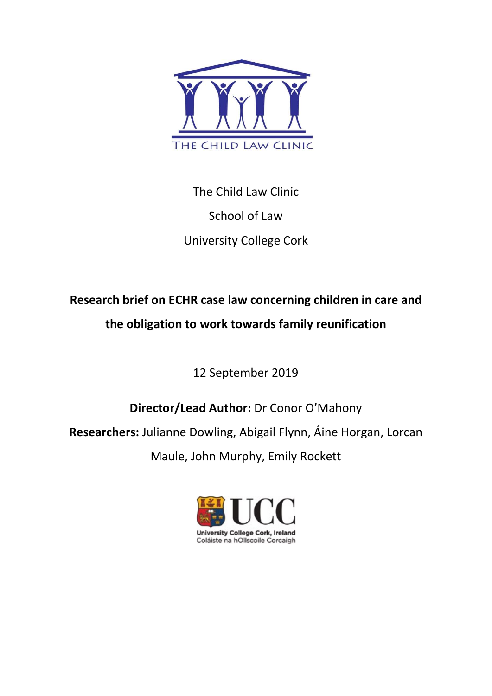

The Child Law Clinic School of Law University College Cork

# Research brief on ECHR case law concerning children in care and the obligation to work towards family reunification

12 September 2019

Director/Lead Author: Dr Conor O'Mahony

Researchers: Julianne Dowling, Abigail Flynn, Áine Horgan, Lorcan

Maule, John Murphy, Emily Rockett

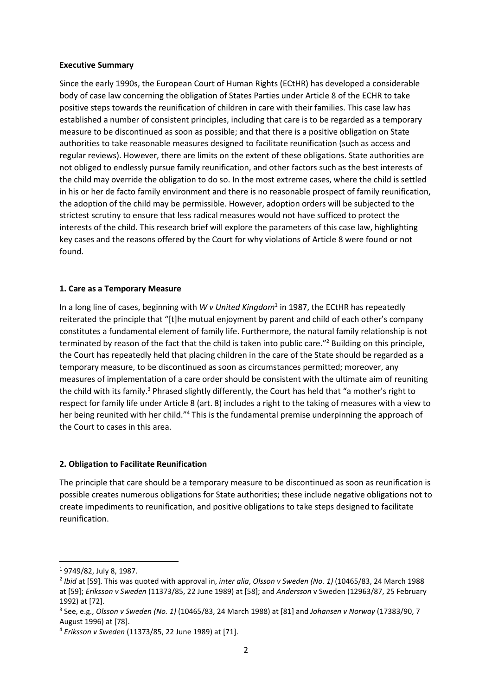#### Executive Summary

Since the early 1990s, the European Court of Human Rights (ECtHR) has developed a considerable body of case law concerning the obligation of States Parties under Article 8 of the ECHR to take positive steps towards the reunification of children in care with their families. This case law has established a number of consistent principles, including that care is to be regarded as a temporary measure to be discontinued as soon as possible; and that there is a positive obligation on State authorities to take reasonable measures designed to facilitate reunification (such as access and regular reviews). However, there are limits on the extent of these obligations. State authorities are not obliged to endlessly pursue family reunification, and other factors such as the best interests of the child may override the obligation to do so. In the most extreme cases, where the child is settled in his or her de facto family environment and there is no reasonable prospect of family reunification, the adoption of the child may be permissible. However, adoption orders will be subjected to the strictest scrutiny to ensure that less radical measures would not have sufficed to protect the interests of the child. This research brief will explore the parameters of this case law, highlighting key cases and the reasons offered by the Court for why violations of Article 8 were found or not found.

### 1. Care as a Temporary Measure

In a long line of cases, beginning with W v United Kingdom<sup>1</sup> in 1987, the ECtHR has repeatedly reiterated the principle that "[t]he mutual enjoyment by parent and child of each other's company constitutes a fundamental element of family life. Furthermore, the natural family relationship is not terminated by reason of the fact that the child is taken into public care."<sup>2</sup> Building on this principle, the Court has repeatedly held that placing children in the care of the State should be regarded as a temporary measure, to be discontinued as soon as circumstances permitted; moreover, any measures of implementation of a care order should be consistent with the ultimate aim of reuniting the child with its family.<sup>3</sup> Phrased slightly differently, the Court has held that "a mother's right to respect for family life under Article 8 (art. 8) includes a right to the taking of measures with a view to her being reunited with her child."<sup>4</sup> This is the fundamental premise underpinning the approach of the Court to cases in this area.

# 2. Obligation to Facilitate Reunification

The principle that care should be a temporary measure to be discontinued as soon as reunification is possible creates numerous obligations for State authorities; these include negative obligations not to create impediments to reunification, and positive obligations to take steps designed to facilitate reunification.

<sup>1</sup> 9749/82, July 8, 1987.

<sup>&</sup>lt;sup>2</sup> Ibid at [59]. This was quoted with approval in, inter alia, Olsson v Sweden (No. 1) (10465/83, 24 March 1988 at [59]; Eriksson v Sweden (11373/85, 22 June 1989) at [58]; and Andersson v Sweden (12963/87, 25 February 1992) at [72].

 $3$  See, e.g., Olsson v Sweden (No. 1) (10465/83, 24 March 1988) at [81] and Johansen v Norway (17383/90, 7 August 1996) at [78].

<sup>4</sup> Eriksson v Sweden (11373/85, 22 June 1989) at [71].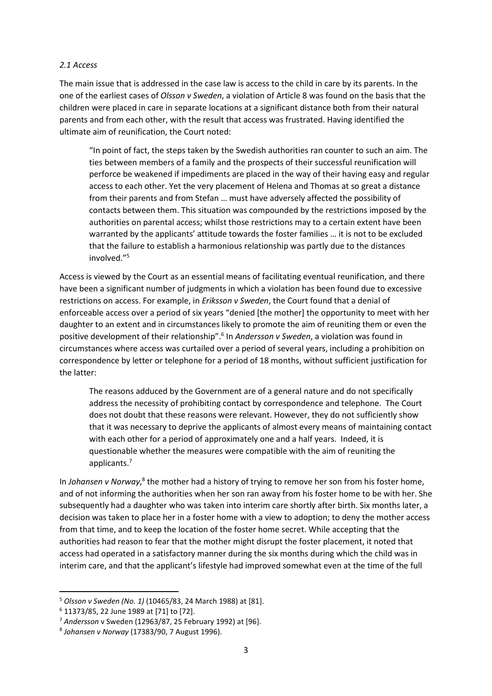#### 2.1 Access

The main issue that is addressed in the case law is access to the child in care by its parents. In the one of the earliest cases of Olsson v Sweden, a violation of Article 8 was found on the basis that the children were placed in care in separate locations at a significant distance both from their natural parents and from each other, with the result that access was frustrated. Having identified the ultimate aim of reunification, the Court noted:

"In point of fact, the steps taken by the Swedish authorities ran counter to such an aim. The ties between members of a family and the prospects of their successful reunification will perforce be weakened if impediments are placed in the way of their having easy and regular access to each other. Yet the very placement of Helena and Thomas at so great a distance from their parents and from Stefan … must have adversely affected the possibility of contacts between them. This situation was compounded by the restrictions imposed by the authorities on parental access; whilst those restrictions may to a certain extent have been warranted by the applicants' attitude towards the foster families … it is not to be excluded that the failure to establish a harmonious relationship was partly due to the distances involved."<sup>5</sup>

Access is viewed by the Court as an essential means of facilitating eventual reunification, and there have been a significant number of judgments in which a violation has been found due to excessive restrictions on access. For example, in *Eriksson v Sweden*, the Court found that a denial of enforceable access over a period of six years "denied [the mother] the opportunity to meet with her daughter to an extent and in circumstances likely to promote the aim of reuniting them or even the positive development of their relationship".<sup>6</sup> In Andersson v Sweden, a violation was found in circumstances where access was curtailed over a period of several years, including a prohibition on correspondence by letter or telephone for a period of 18 months, without sufficient justification for the latter:

The reasons adduced by the Government are of a general nature and do not specifically address the necessity of prohibiting contact by correspondence and telephone. The Court does not doubt that these reasons were relevant. However, they do not sufficiently show that it was necessary to deprive the applicants of almost every means of maintaining contact with each other for a period of approximately one and a half years. Indeed, it is questionable whether the measures were compatible with the aim of reuniting the applicants.<sup>7</sup>

In Johansen v Norway,<sup>8</sup> the mother had a history of trying to remove her son from his foster home, and of not informing the authorities when her son ran away from his foster home to be with her. She subsequently had a daughter who was taken into interim care shortly after birth. Six months later, a decision was taken to place her in a foster home with a view to adoption; to deny the mother access from that time, and to keep the location of the foster home secret. While accepting that the authorities had reason to fear that the mother might disrupt the foster placement, it noted that access had operated in a satisfactory manner during the six months during which the child was in interim care, and that the applicant's lifestyle had improved somewhat even at the time of the full

<sup>5</sup> Olsson v Sweden (No. 1) (10465/83, 24 March 1988) at [81].

<sup>6</sup> 11373/85, 22 June 1989 at [71] to [72].

 $7$  Andersson v Sweden (12963/87, 25 February 1992) at [96].

<sup>8</sup> Johansen v Norway (17383/90, 7 August 1996).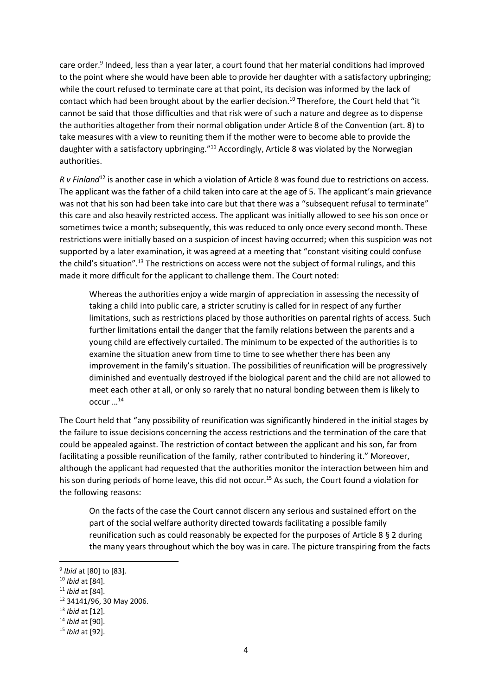care order.<sup>9</sup> Indeed, less than a year later, a court found that her material conditions had improved to the point where she would have been able to provide her daughter with a satisfactory upbringing; while the court refused to terminate care at that point, its decision was informed by the lack of contact which had been brought about by the earlier decision.<sup>10</sup> Therefore, the Court held that "it cannot be said that those difficulties and that risk were of such a nature and degree as to dispense the authorities altogether from their normal obligation under Article 8 of the Convention (art. 8) to take measures with a view to reuniting them if the mother were to become able to provide the daughter with a satisfactory upbringing."<sup>11</sup> Accordingly, Article 8 was violated by the Norwegian authorities.

R v Finland<sup>12</sup> is another case in which a violation of Article 8 was found due to restrictions on access. The applicant was the father of a child taken into care at the age of 5. The applicant's main grievance was not that his son had been take into care but that there was a "subsequent refusal to terminate" this care and also heavily restricted access. The applicant was initially allowed to see his son once or sometimes twice a month; subsequently, this was reduced to only once every second month. These restrictions were initially based on a suspicion of incest having occurred; when this suspicion was not supported by a later examination, it was agreed at a meeting that "constant visiting could confuse the child's situation".<sup>13</sup> The restrictions on access were not the subject of formal rulings, and this made it more difficult for the applicant to challenge them. The Court noted:

Whereas the authorities enjoy a wide margin of appreciation in assessing the necessity of taking a child into public care, a stricter scrutiny is called for in respect of any further limitations, such as restrictions placed by those authorities on parental rights of access. Such further limitations entail the danger that the family relations between the parents and a young child are effectively curtailed. The minimum to be expected of the authorities is to examine the situation anew from time to time to see whether there has been any improvement in the family's situation. The possibilities of reunification will be progressively diminished and eventually destroyed if the biological parent and the child are not allowed to meet each other at all, or only so rarely that no natural bonding between them is likely to occur …<sup>14</sup>

The Court held that "any possibility of reunification was significantly hindered in the initial stages by the failure to issue decisions concerning the access restrictions and the termination of the care that could be appealed against. The restriction of contact between the applicant and his son, far from facilitating a possible reunification of the family, rather contributed to hindering it." Moreover, although the applicant had requested that the authorities monitor the interaction between him and his son during periods of home leave, this did not occur.<sup>15</sup> As such, the Court found a violation for the following reasons:

On the facts of the case the Court cannot discern any serious and sustained effort on the part of the social welfare authority directed towards facilitating a possible family reunification such as could reasonably be expected for the purposes of Article 8 § 2 during the many years throughout which the boy was in care. The picture transpiring from the facts

<sup>&</sup>lt;sup>9</sup> Ibid at [80] to [83].

 $10$  *Ibid* at [84].

 $11$  *Ibid* at [84].

<sup>12</sup> 34141/96, 30 May 2006.

 $13$  *Ibid* at [12].

<sup>&</sup>lt;sup>14</sup> Ibid at [90].

<sup>15</sup> Ibid at [92].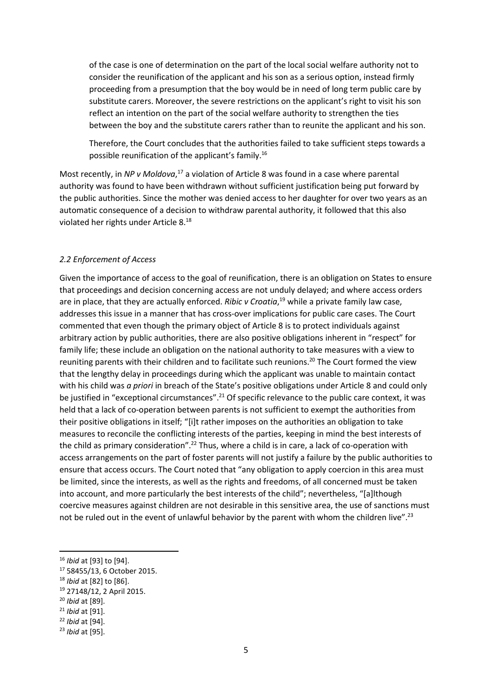of the case is one of determination on the part of the local social welfare authority not to consider the reunification of the applicant and his son as a serious option, instead firmly proceeding from a presumption that the boy would be in need of long term public care by substitute carers. Moreover, the severe restrictions on the applicant's right to visit his son reflect an intention on the part of the social welfare authority to strengthen the ties between the boy and the substitute carers rather than to reunite the applicant and his son.

Therefore, the Court concludes that the authorities failed to take sufficient steps towards a possible reunification of the applicant's family.<sup>16</sup>

Most recently, in NP v Moldova, $^{17}$  a violation of Article 8 was found in a case where parental authority was found to have been withdrawn without sufficient justification being put forward by the public authorities. Since the mother was denied access to her daughter for over two years as an automatic consequence of a decision to withdraw parental authority, it followed that this also violated her rights under Article 8.<sup>18</sup>

#### 2.2 Enforcement of Access

Given the importance of access to the goal of reunification, there is an obligation on States to ensure that proceedings and decision concerning access are not unduly delayed; and where access orders are in place, that they are actually enforced. Ribic v Croatia,<sup>19</sup> while a private family law case, addresses this issue in a manner that has cross-over implications for public care cases. The Court commented that even though the primary object of Article 8 is to protect individuals against arbitrary action by public authorities, there are also positive obligations inherent in "respect" for family life; these include an obligation on the national authority to take measures with a view to reuniting parents with their children and to facilitate such reunions.<sup>20</sup> The Court formed the view that the lengthy delay in proceedings during which the applicant was unable to maintain contact with his child was a priori in breach of the State's positive obligations under Article 8 and could only be justified in "exceptional circumstances".<sup>21</sup> Of specific relevance to the public care context, it was held that a lack of co-operation between parents is not sufficient to exempt the authorities from their positive obligations in itself; "[i]t rather imposes on the authorities an obligation to take measures to reconcile the conflicting interests of the parties, keeping in mind the best interests of the child as primary consideration".<sup>22</sup> Thus, where a child is in care, a lack of co-operation with access arrangements on the part of foster parents will not justify a failure by the public authorities to ensure that access occurs. The Court noted that "any obligation to apply coercion in this area must be limited, since the interests, as well as the rights and freedoms, of all concerned must be taken into account, and more particularly the best interests of the child"; nevertheless, "[a]lthough coercive measures against children are not desirable in this sensitive area, the use of sanctions must not be ruled out in the event of unlawful behavior by the parent with whom the children live".<sup>23</sup>

<sup>16</sup> Ibid at [93] to [94].

<sup>17</sup> 58455/13, 6 October 2015.

<sup>&</sup>lt;sup>18</sup> *Ibid* at [82] to [86].

<sup>19</sup> 27148/12, 2 April 2015.

<sup>20</sup> Ibid at [89].

 $21$  *Ibid* at [91].

<sup>22</sup> Ibid at [94].

<sup>23</sup> Ibid at [95].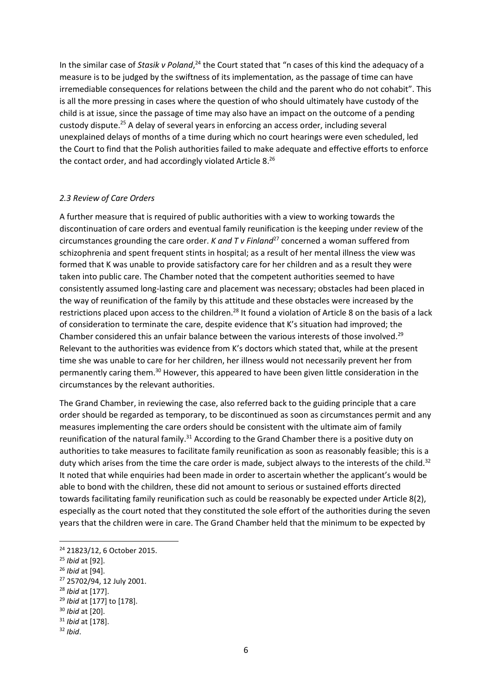In the similar case of Stasik v Poland,<sup>24</sup> the Court stated that "n cases of this kind the adequacy of a measure is to be judged by the swiftness of its implementation, as the passage of time can have irremediable consequences for relations between the child and the parent who do not cohabit". This is all the more pressing in cases where the question of who should ultimately have custody of the child is at issue, since the passage of time may also have an impact on the outcome of a pending custody dispute.<sup>25</sup> A delay of several years in enforcing an access order, including several unexplained delays of months of a time during which no court hearings were even scheduled, led the Court to find that the Polish authorities failed to make adequate and effective efforts to enforce the contact order, and had accordingly violated Article 8.<sup>26</sup>

#### 2.3 Review of Care Orders

A further measure that is required of public authorities with a view to working towards the discontinuation of care orders and eventual family reunification is the keeping under review of the circumstances grounding the care order. K and T v Finland<sup>27</sup> concerned a woman suffered from schizophrenia and spent frequent stints in hospital; as a result of her mental illness the view was formed that K was unable to provide satisfactory care for her children and as a result they were taken into public care. The Chamber noted that the competent authorities seemed to have consistently assumed long-lasting care and placement was necessary; obstacles had been placed in the way of reunification of the family by this attitude and these obstacles were increased by the restrictions placed upon access to the children.<sup>28</sup> It found a violation of Article 8 on the basis of a lack of consideration to terminate the care, despite evidence that K's situation had improved; the Chamber considered this an unfair balance between the various interests of those involved.<sup>29</sup> Relevant to the authorities was evidence from K's doctors which stated that, while at the present time she was unable to care for her children, her illness would not necessarily prevent her from permanently caring them.<sup>30</sup> However, this appeared to have been given little consideration in the circumstances by the relevant authorities.

The Grand Chamber, in reviewing the case, also referred back to the guiding principle that a care order should be regarded as temporary, to be discontinued as soon as circumstances permit and any measures implementing the care orders should be consistent with the ultimate aim of family reunification of the natural family.<sup>31</sup> According to the Grand Chamber there is a positive duty on authorities to take measures to facilitate family reunification as soon as reasonably feasible; this is a duty which arises from the time the care order is made, subject always to the interests of the child.<sup>32</sup> It noted that while enquiries had been made in order to ascertain whether the applicant's would be able to bond with the children, these did not amount to serious or sustained efforts directed towards facilitating family reunification such as could be reasonably be expected under Article 8(2), especially as the court noted that they constituted the sole effort of the authorities during the seven years that the children were in care. The Grand Chamber held that the minimum to be expected by

<sup>24</sup> 21823/12, 6 October 2015.

<sup>25</sup> Ibid at [92].

<sup>26</sup> Ibid at [94].

<sup>27</sup> 25702/94, 12 July 2001.

 $28$  *Ibid* at [177].

<sup>&</sup>lt;sup>29</sup> Ibid at [177] to [178].

 $30$  *Ibid* at [20].

<sup>&</sup>lt;sup>31</sup> Ibid at [178].

 $32$  Ibid.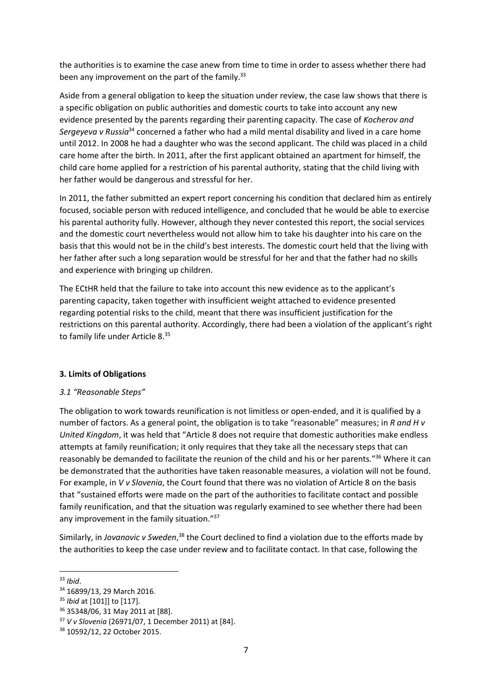the authorities is to examine the case anew from time to time in order to assess whether there had been any improvement on the part of the family.<sup>33</sup>

Aside from a general obligation to keep the situation under review, the case law shows that there is a specific obligation on public authorities and domestic courts to take into account any new evidence presented by the parents regarding their parenting capacity. The case of Kocherov and Sergeyeva v Russia<sup>34</sup> concerned a father who had a mild mental disability and lived in a care home until 2012. In 2008 he had a daughter who was the second applicant. The child was placed in a child care home after the birth. In 2011, after the first applicant obtained an apartment for himself, the child care home applied for a restriction of his parental authority, stating that the child living with her father would be dangerous and stressful for her.

In 2011, the father submitted an expert report concerning his condition that declared him as entirely focused, sociable person with reduced intelligence, and concluded that he would be able to exercise his parental authority fully. However, although they never contested this report, the social services and the domestic court nevertheless would not allow him to take his daughter into his care on the basis that this would not be in the child's best interests. The domestic court held that the living with her father after such a long separation would be stressful for her and that the father had no skills and experience with bringing up children.

The ECtHR held that the failure to take into account this new evidence as to the applicant's parenting capacity, taken together with insufficient weight attached to evidence presented regarding potential risks to the child, meant that there was insufficient justification for the restrictions on this parental authority. Accordingly, there had been a violation of the applicant's right to family life under Article 8.<sup>35</sup>

#### 3. Limits of Obligations

# 3.1 "Reasonable Steps"

The obligation to work towards reunification is not limitless or open-ended, and it is qualified by a number of factors. As a general point, the obligation is to take "reasonable" measures; in R and H  $v$ United Kingdom, it was held that "Article 8 does not require that domestic authorities make endless attempts at family reunification; it only requires that they take all the necessary steps that can reasonably be demanded to facilitate the reunion of the child and his or her parents."<sup>36</sup> Where it can be demonstrated that the authorities have taken reasonable measures, a violation will not be found. For example, in V v Slovenia, the Court found that there was no violation of Article 8 on the basis that "sustained efforts were made on the part of the authorities to facilitate contact and possible family reunification, and that the situation was regularly examined to see whether there had been any improvement in the family situation."<sup>37</sup>

Similarly, in Jovanovic v Sweden,<sup>38</sup> the Court declined to find a violation due to the efforts made by the authorities to keep the case under review and to facilitate contact. In that case, following the

<sup>-</sup> $33$  Ibid.

<sup>34</sup> 16899/13, 29 March 2016.

<sup>&</sup>lt;sup>35</sup> Ibid at [101]] to [117].

<sup>36</sup> 35348/06, 31 May 2011 at [88].

<sup>37</sup> V v Slovenia (26971/07, 1 December 2011) at [84].

<sup>38</sup> 10592/12, 22 October 2015.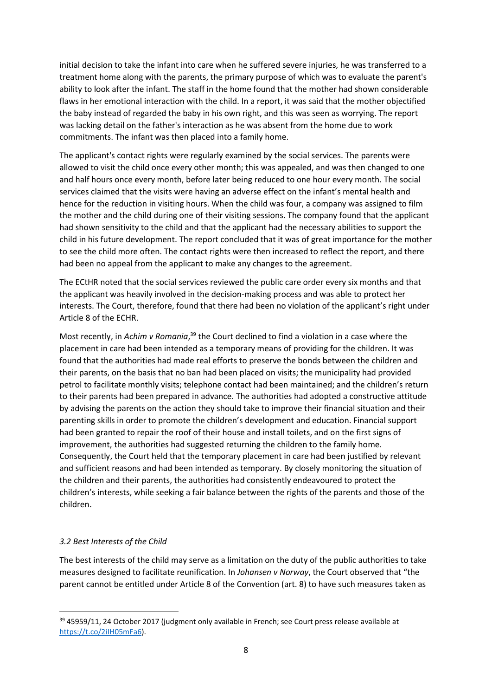initial decision to take the infant into care when he suffered severe injuries, he was transferred to a treatment home along with the parents, the primary purpose of which was to evaluate the parent's ability to look after the infant. The staff in the home found that the mother had shown considerable flaws in her emotional interaction with the child. In a report, it was said that the mother objectified the baby instead of regarded the baby in his own right, and this was seen as worrying. The report was lacking detail on the father's interaction as he was absent from the home due to work commitments. The infant was then placed into a family home.

The applicant's contact rights were regularly examined by the social services. The parents were allowed to visit the child once every other month; this was appealed, and was then changed to one and half hours once every month, before later being reduced to one hour every month. The social services claimed that the visits were having an adverse effect on the infant's mental health and hence for the reduction in visiting hours. When the child was four, a company was assigned to film the mother and the child during one of their visiting sessions. The company found that the applicant had shown sensitivity to the child and that the applicant had the necessary abilities to support the child in his future development. The report concluded that it was of great importance for the mother to see the child more often. The contact rights were then increased to reflect the report, and there had been no appeal from the applicant to make any changes to the agreement.

The ECtHR noted that the social services reviewed the public care order every six months and that the applicant was heavily involved in the decision-making process and was able to protect her interests. The Court, therefore, found that there had been no violation of the applicant's right under Article 8 of the ECHR.

Most recently, in Achim v Romania,<sup>39</sup> the Court declined to find a violation in a case where the placement in care had been intended as a temporary means of providing for the children. It was found that the authorities had made real efforts to preserve the bonds between the children and their parents, on the basis that no ban had been placed on visits; the municipality had provided petrol to facilitate monthly visits; telephone contact had been maintained; and the children's return to their parents had been prepared in advance. The authorities had adopted a constructive attitude by advising the parents on the action they should take to improve their financial situation and their parenting skills in order to promote the children's development and education. Financial support had been granted to repair the roof of their house and install toilets, and on the first signs of improvement, the authorities had suggested returning the children to the family home. Consequently, the Court held that the temporary placement in care had been justified by relevant and sufficient reasons and had been intended as temporary. By closely monitoring the situation of the children and their parents, the authorities had consistently endeavoured to protect the children's interests, while seeking a fair balance between the rights of the parents and those of the children.

# 3.2 Best Interests of the Child

-

The best interests of the child may serve as a limitation on the duty of the public authorities to take measures designed to facilitate reunification. In Johansen v Norway, the Court observed that "the parent cannot be entitled under Article 8 of the Convention (art. 8) to have such measures taken as

<sup>39 45959/11, 24</sup> October 2017 (judgment only available in French; see Court press release available at https://t.co/2iIH05mFa6).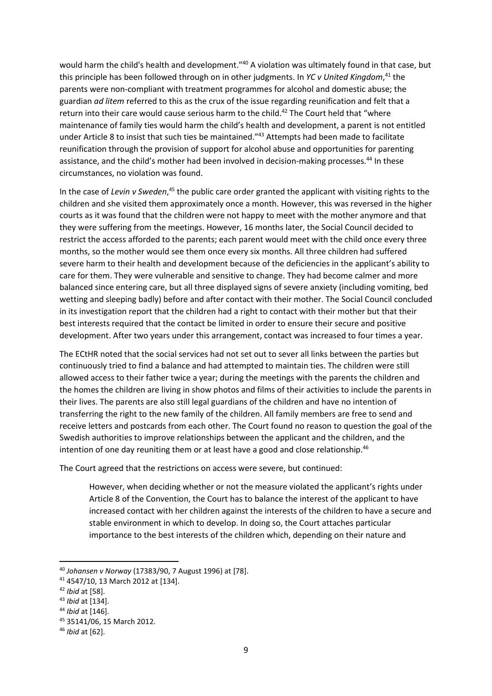would harm the child's health and development."<sup>40</sup> A violation was ultimately found in that case, but this principle has been followed through on in other judgments. In YC v United Kingdom,<sup>41</sup> the parents were non-compliant with treatment programmes for alcohol and domestic abuse; the guardian ad litem referred to this as the crux of the issue regarding reunification and felt that a return into their care would cause serious harm to the child.<sup>42</sup> The Court held that "where maintenance of family ties would harm the child's health and development, a parent is not entitled under Article 8 to insist that such ties be maintained.<sup>"43</sup> Attempts had been made to facilitate reunification through the provision of support for alcohol abuse and opportunities for parenting assistance, and the child's mother had been involved in decision-making processes.<sup>44</sup> In these circumstances, no violation was found.

In the case of Levin v Sweden,<sup>45</sup> the public care order granted the applicant with visiting rights to the children and she visited them approximately once a month. However, this was reversed in the higher courts as it was found that the children were not happy to meet with the mother anymore and that they were suffering from the meetings. However, 16 months later, the Social Council decided to restrict the access afforded to the parents; each parent would meet with the child once every three months, so the mother would see them once every six months. All three children had suffered severe harm to their health and development because of the deficiencies in the applicant's ability to care for them. They were vulnerable and sensitive to change. They had become calmer and more balanced since entering care, but all three displayed signs of severe anxiety (including vomiting, bed wetting and sleeping badly) before and after contact with their mother. The Social Council concluded in its investigation report that the children had a right to contact with their mother but that their best interests required that the contact be limited in order to ensure their secure and positive development. After two years under this arrangement, contact was increased to four times a year.

The ECtHR noted that the social services had not set out to sever all links between the parties but continuously tried to find a balance and had attempted to maintain ties. The children were still allowed access to their father twice a year; during the meetings with the parents the children and the homes the children are living in show photos and films of their activities to include the parents in their lives. The parents are also still legal guardians of the children and have no intention of transferring the right to the new family of the children. All family members are free to send and receive letters and postcards from each other. The Court found no reason to question the goal of the Swedish authorities to improve relationships between the applicant and the children, and the intention of one day reuniting them or at least have a good and close relationship.<sup>46</sup>

The Court agreed that the restrictions on access were severe, but continued:

However, when deciding whether or not the measure violated the applicant's rights under Article 8 of the Convention, the Court has to balance the interest of the applicant to have increased contact with her children against the interests of the children to have a secure and stable environment in which to develop. In doing so, the Court attaches particular importance to the best interests of the children which, depending on their nature and

<sup>40</sup> Johansen v Norway (17383/90, 7 August 1996) at [78].

<sup>41</sup> 4547/10, 13 March 2012 at [134].

 $42$  *Ibid* at [58].

<sup>43</sup> Ibid at [134].

<sup>44</sup> Ibid at [146].

<sup>45</sup> 35141/06, 15 March 2012.

<sup>46</sup> Ibid at [62].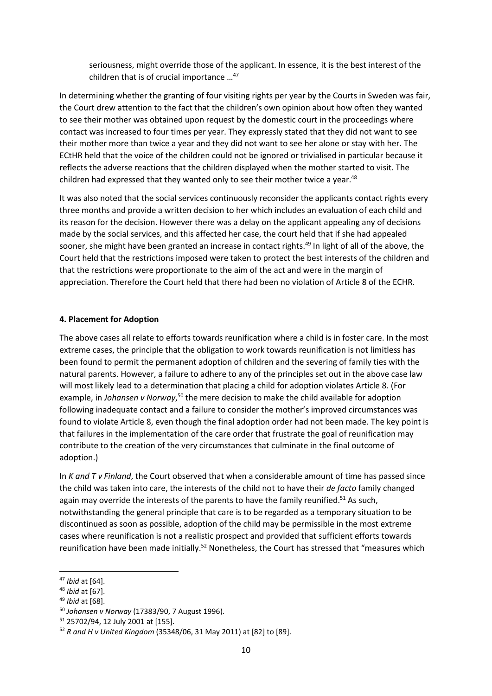seriousness, might override those of the applicant. In essence, it is the best interest of the children that is of crucial importance …<sup>47</sup>

In determining whether the granting of four visiting rights per year by the Courts in Sweden was fair, the Court drew attention to the fact that the children's own opinion about how often they wanted to see their mother was obtained upon request by the domestic court in the proceedings where contact was increased to four times per year. They expressly stated that they did not want to see their mother more than twice a year and they did not want to see her alone or stay with her. The ECtHR held that the voice of the children could not be ignored or trivialised in particular because it reflects the adverse reactions that the children displayed when the mother started to visit. The children had expressed that they wanted only to see their mother twice a year.<sup>48</sup>

It was also noted that the social services continuously reconsider the applicants contact rights every three months and provide a written decision to her which includes an evaluation of each child and its reason for the decision. However there was a delay on the applicant appealing any of decisions made by the social services, and this affected her case, the court held that if she had appealed sooner, she might have been granted an increase in contact rights.<sup>49</sup> In light of all of the above, the Court held that the restrictions imposed were taken to protect the best interests of the children and that the restrictions were proportionate to the aim of the act and were in the margin of appreciation. Therefore the Court held that there had been no violation of Article 8 of the ECHR.

#### 4. Placement for Adoption

The above cases all relate to efforts towards reunification where a child is in foster care. In the most extreme cases, the principle that the obligation to work towards reunification is not limitless has been found to permit the permanent adoption of children and the severing of family ties with the natural parents. However, a failure to adhere to any of the principles set out in the above case law will most likely lead to a determination that placing a child for adoption violates Article 8. (For example, in Johansen v Norway,<sup>50</sup> the mere decision to make the child available for adoption following inadequate contact and a failure to consider the mother's improved circumstances was found to violate Article 8, even though the final adoption order had not been made. The key point is that failures in the implementation of the care order that frustrate the goal of reunification may contribute to the creation of the very circumstances that culminate in the final outcome of adoption.)

In K and T v Finland, the Court observed that when a considerable amount of time has passed since the child was taken into care, the interests of the child not to have their de facto family changed again may override the interests of the parents to have the family reunified.<sup>51</sup> As such, notwithstanding the general principle that care is to be regarded as a temporary situation to be discontinued as soon as possible, adoption of the child may be permissible in the most extreme cases where reunification is not a realistic prospect and provided that sufficient efforts towards reunification have been made initially.<sup>52</sup> Nonetheless, the Court has stressed that "measures which

<sup>47</sup> Ibid at [64].

<sup>48</sup> Ibid at [67].

<sup>49</sup> Ibid at [68].

<sup>50</sup> Johansen v Norway (17383/90, 7 August 1996).

<sup>51</sup> 25702/94, 12 July 2001 at [155].

<sup>52</sup> R and H v United Kingdom (35348/06, 31 May 2011) at [82] to [89].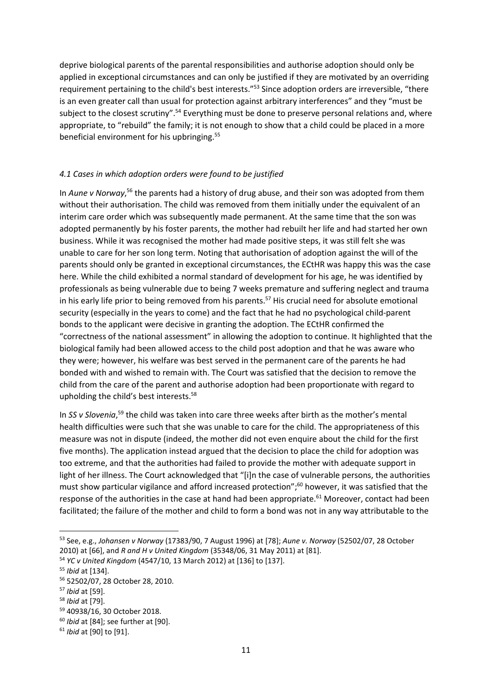deprive biological parents of the parental responsibilities and authorise adoption should only be applied in exceptional circumstances and can only be justified if they are motivated by an overriding requirement pertaining to the child's best interests."<sup>53</sup> Since adoption orders are irreversible, "there is an even greater call than usual for protection against arbitrary interferences" and they "must be subject to the closest scrutiny".<sup>54</sup> Everything must be done to preserve personal relations and, where appropriate, to "rebuild" the family; it is not enough to show that a child could be placed in a more beneficial environment for his upbringing.<sup>55</sup>

# 4.1 Cases in which adoption orders were found to be justified

In Aune v Norway,<sup>56</sup> the parents had a history of drug abuse, and their son was adopted from them without their authorisation. The child was removed from them initially under the equivalent of an interim care order which was subsequently made permanent. At the same time that the son was adopted permanently by his foster parents, the mother had rebuilt her life and had started her own business. While it was recognised the mother had made positive steps, it was still felt she was unable to care for her son long term. Noting that authorisation of adoption against the will of the parents should only be granted in exceptional circumstances, the ECtHR was happy this was the case here. While the child exhibited a normal standard of development for his age, he was identified by professionals as being vulnerable due to being 7 weeks premature and suffering neglect and trauma in his early life prior to being removed from his parents.<sup>57</sup> His crucial need for absolute emotional security (especially in the years to come) and the fact that he had no psychological child-parent bonds to the applicant were decisive in granting the adoption. The ECtHR confirmed the "correctness of the national assessment" in allowing the adoption to continue. It highlighted that the biological family had been allowed access to the child post adoption and that he was aware who they were; however, his welfare was best served in the permanent care of the parents he had bonded with and wished to remain with. The Court was satisfied that the decision to remove the child from the care of the parent and authorise adoption had been proportionate with regard to upholding the child's best interests.<sup>58</sup>

In SS v Slovenia,<sup>59</sup> the child was taken into care three weeks after birth as the mother's mental health difficulties were such that she was unable to care for the child. The appropriateness of this measure was not in dispute (indeed, the mother did not even enquire about the child for the first five months). The application instead argued that the decision to place the child for adoption was too extreme, and that the authorities had failed to provide the mother with adequate support in light of her illness. The Court acknowledged that "[i]n the case of vulnerable persons, the authorities must show particular vigilance and afford increased protection";<sup>60</sup> however, it was satisfied that the response of the authorities in the case at hand had been appropriate.<sup>61</sup> Moreover, contact had been facilitated; the failure of the mother and child to form a bond was not in any way attributable to the

<sup>&</sup>lt;sup>53</sup> See, e.g., Johansen v Norway (17383/90, 7 August 1996) at [78]; Aune v. Norway (52502/07, 28 October 2010) at [66], and R and H v United Kingdom (35348/06, 31 May 2011) at [81].

<sup>54</sup> YC v United Kingdom (4547/10, 13 March 2012) at [136] to [137].

<sup>55</sup> Ibid at [134].

<sup>56</sup> 52502/07, 28 October 28, 2010.

<sup>57</sup> Ibid at [59].

<sup>58</sup> Ibid at [79].

<sup>59</sup> 40938/16, 30 October 2018.

 $60$  Ibid at [84]; see further at [90].

<sup>61</sup> Ibid at [90] to [91].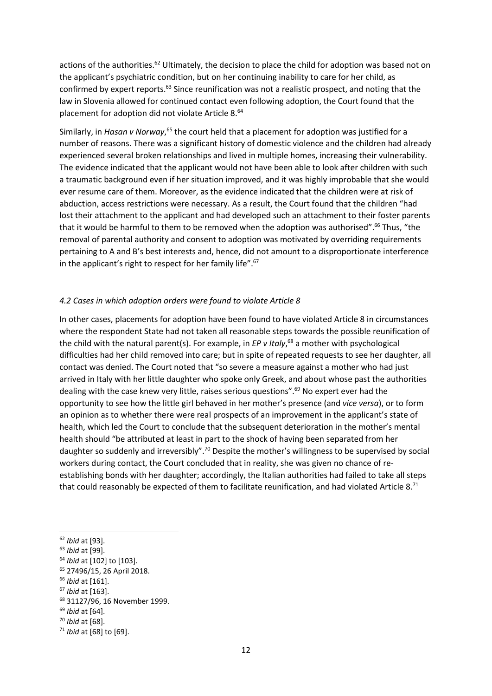actions of the authorities.<sup>62</sup> Ultimately, the decision to place the child for adoption was based not on the applicant's psychiatric condition, but on her continuing inability to care for her child, as confirmed by expert reports.<sup>63</sup> Since reunification was not a realistic prospect, and noting that the law in Slovenia allowed for continued contact even following adoption, the Court found that the placement for adoption did not violate Article 8.<sup>64</sup>

Similarly, in Hasan v Norway,<sup>65</sup> the court held that a placement for adoption was justified for a number of reasons. There was a significant history of domestic violence and the children had already experienced several broken relationships and lived in multiple homes, increasing their vulnerability. The evidence indicated that the applicant would not have been able to look after children with such a traumatic background even if her situation improved, and it was highly improbable that she would ever resume care of them. Moreover, as the evidence indicated that the children were at risk of abduction, access restrictions were necessary. As a result, the Court found that the children "had lost their attachment to the applicant and had developed such an attachment to their foster parents that it would be harmful to them to be removed when the adoption was authorised".<sup>66</sup> Thus, "the removal of parental authority and consent to adoption was motivated by overriding requirements pertaining to A and B's best interests and, hence, did not amount to a disproportionate interference in the applicant's right to respect for her family life".<sup>67</sup>

#### 4.2 Cases in which adoption orders were found to violate Article 8

In other cases, placements for adoption have been found to have violated Article 8 in circumstances where the respondent State had not taken all reasonable steps towards the possible reunification of the child with the natural parent(s). For example, in  $EP$  v Italy,<sup>68</sup> a mother with psychological difficulties had her child removed into care; but in spite of repeated requests to see her daughter, all contact was denied. The Court noted that "so severe a measure against a mother who had just arrived in Italy with her little daughter who spoke only Greek, and about whose past the authorities dealing with the case knew very little, raises serious questions".<sup>69</sup> No expert ever had the opportunity to see how the little girl behaved in her mother's presence (and vice versa), or to form an opinion as to whether there were real prospects of an improvement in the applicant's state of health, which led the Court to conclude that the subsequent deterioration in the mother's mental health should "be attributed at least in part to the shock of having been separated from her daughter so suddenly and irreversibly".<sup>70</sup> Despite the mother's willingness to be supervised by social workers during contact, the Court concluded that in reality, she was given no chance of reestablishing bonds with her daughter; accordingly, the Italian authorities had failed to take all steps that could reasonably be expected of them to facilitate reunification, and had violated Article 8.71

<sup>62</sup> Ibid at [93].

<sup>63</sup> Ibid at [99].

<sup>&</sup>lt;sup>64</sup> Ibid at [102] to [103].

<sup>65</sup> 27496/15, 26 April 2018.

<sup>66</sup> Ibid at [161].

 $67$  Ibid at [163].

<sup>68</sup> 31127/96, 16 November 1999.

 $69$  *Ibid* at [64].

<sup>70</sup> Ibid at [68].

 $71$  Ibid at [68] to [69].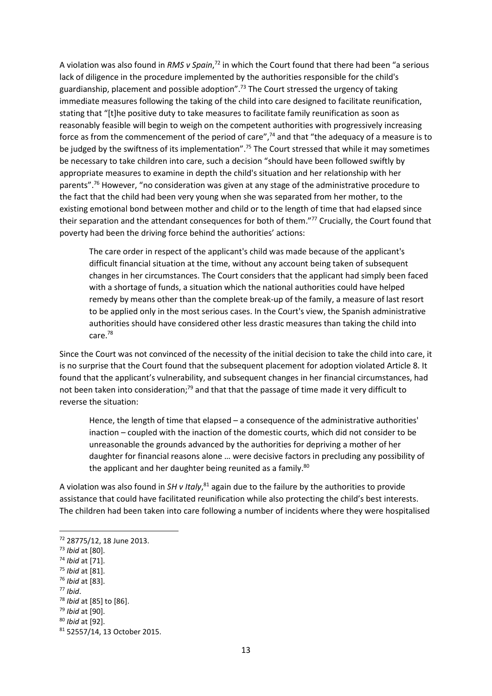A violation was also found in RMS v Spain,<sup>72</sup> in which the Court found that there had been "a serious lack of diligence in the procedure implemented by the authorities responsible for the child's guardianship, placement and possible adoption".<sup>73</sup> The Court stressed the urgency of taking immediate measures following the taking of the child into care designed to facilitate reunification, stating that "[t]he positive duty to take measures to facilitate family reunification as soon as reasonably feasible will begin to weigh on the competent authorities with progressively increasing force as from the commencement of the period of care",<sup>74</sup> and that "the adequacy of a measure is to be judged by the swiftness of its implementation".<sup>75</sup> The Court stressed that while it may sometimes be necessary to take children into care, such a decision "should have been followed swiftly by appropriate measures to examine in depth the child's situation and her relationship with her parents".<sup>76</sup> However, "no consideration was given at any stage of the administrative procedure to the fact that the child had been very young when she was separated from her mother, to the existing emotional bond between mother and child or to the length of time that had elapsed since their separation and the attendant consequences for both of them."<sup>77</sup> Crucially, the Court found that poverty had been the driving force behind the authorities' actions:

The care order in respect of the applicant's child was made because of the applicant's difficult financial situation at the time, without any account being taken of subsequent changes in her circumstances. The Court considers that the applicant had simply been faced with a shortage of funds, a situation which the national authorities could have helped remedy by means other than the complete break-up of the family, a measure of last resort to be applied only in the most serious cases. In the Court's view, the Spanish administrative authorities should have considered other less drastic measures than taking the child into care.<sup>78</sup>

Since the Court was not convinced of the necessity of the initial decision to take the child into care, it is no surprise that the Court found that the subsequent placement for adoption violated Article 8. It found that the applicant's vulnerability, and subsequent changes in her financial circumstances, had not been taken into consideration;<sup>79</sup> and that that the passage of time made it very difficult to reverse the situation:

Hence, the length of time that elapsed – a consequence of the administrative authorities' inaction – coupled with the inaction of the domestic courts, which did not consider to be unreasonable the grounds advanced by the authorities for depriving a mother of her daughter for financial reasons alone … were decisive factors in precluding any possibility of the applicant and her daughter being reunited as a family. $80$ 

A violation was also found in  $SH$  v Italy, $^{81}$  again due to the failure by the authorities to provide assistance that could have facilitated reunification while also protecting the child's best interests. The children had been taken into care following a number of incidents where they were hospitalised

 $77$  Ibid.

<sup>72</sup> 28775/12, 18 June 2013.

<sup>73</sup> Ibid at [80].

<sup>74</sup> Ibid at [71].

<sup>75</sup> Ibid at [81].

<sup>76</sup> Ibid at [83].

<sup>78</sup> Ibid at [85] to [86].

<sup>79</sup> Ibid at [90].

<sup>80</sup> Ibid at [92].

<sup>81</sup> 52557/14, 13 October 2015.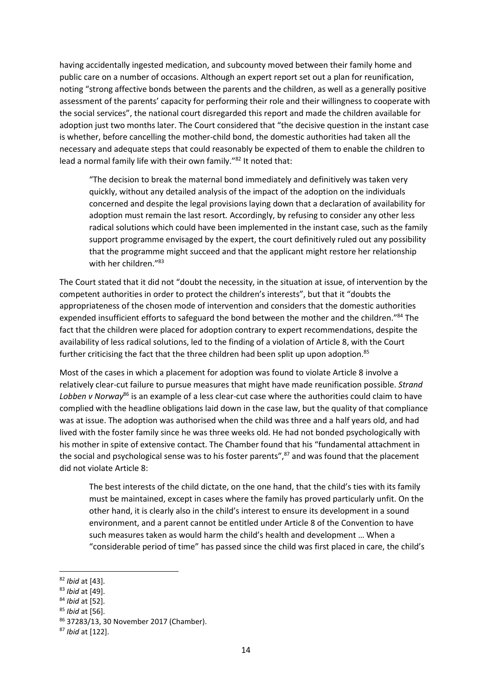having accidentally ingested medication, and subcounty moved between their family home and public care on a number of occasions. Although an expert report set out a plan for reunification, noting "strong affective bonds between the parents and the children, as well as a generally positive assessment of the parents' capacity for performing their role and their willingness to cooperate with the social services", the national court disregarded this report and made the children available for adoption just two months later. The Court considered that "the decisive question in the instant case is whether, before cancelling the mother-child bond, the domestic authorities had taken all the necessary and adequate steps that could reasonably be expected of them to enable the children to lead a normal family life with their own family."<sup>82</sup> It noted that:

"The decision to break the maternal bond immediately and definitively was taken very quickly, without any detailed analysis of the impact of the adoption on the individuals concerned and despite the legal provisions laying down that a declaration of availability for adoption must remain the last resort. Accordingly, by refusing to consider any other less radical solutions which could have been implemented in the instant case, such as the family support programme envisaged by the expert, the court definitively ruled out any possibility that the programme might succeed and that the applicant might restore her relationship with her children."<sup>83</sup>

The Court stated that it did not "doubt the necessity, in the situation at issue, of intervention by the competent authorities in order to protect the children's interests", but that it "doubts the appropriateness of the chosen mode of intervention and considers that the domestic authorities expended insufficient efforts to safeguard the bond between the mother and the children."<sup>84</sup> The fact that the children were placed for adoption contrary to expert recommendations, despite the availability of less radical solutions, led to the finding of a violation of Article 8, with the Court further criticising the fact that the three children had been split up upon adoption.<sup>85</sup>

Most of the cases in which a placement for adoption was found to violate Article 8 involve a relatively clear-cut failure to pursue measures that might have made reunification possible. Strand Lobben v Norway<sup>86</sup> is an example of a less clear-cut case where the authorities could claim to have complied with the headline obligations laid down in the case law, but the quality of that compliance was at issue. The adoption was authorised when the child was three and a half years old, and had lived with the foster family since he was three weeks old. He had not bonded psychologically with his mother in spite of extensive contact. The Chamber found that his "fundamental attachment in the social and psychological sense was to his foster parents", $87$  and was found that the placement did not violate Article 8:

The best interests of the child dictate, on the one hand, that the child's ties with its family must be maintained, except in cases where the family has proved particularly unfit. On the other hand, it is clearly also in the child's interest to ensure its development in a sound environment, and a parent cannot be entitled under Article 8 of the Convention to have such measures taken as would harm the child's health and development … When a "considerable period of time" has passed since the child was first placed in care, the child's

<sup>82</sup> Ibid at [43].

<sup>83</sup> Ibid at [49].

<sup>84</sup> Ibid at [52].

 $85$  *Ibid* at [56].

<sup>86</sup> 37283/13, 30 November 2017 (Chamber).

<sup>87</sup> Ibid at [122].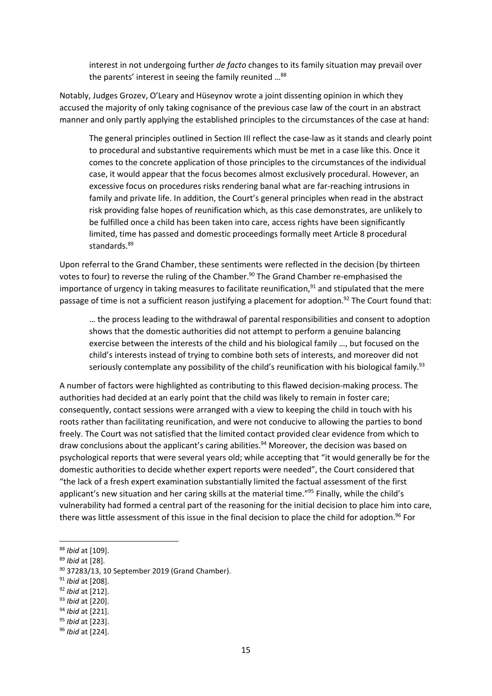interest in not undergoing further de facto changes to its family situation may prevail over the parents' interest in seeing the family reunited ...<sup>88</sup>

Notably, Judges Grozev, O'Leary and Hüseynov wrote a joint dissenting opinion in which they accused the majority of only taking cognisance of the previous case law of the court in an abstract manner and only partly applying the established principles to the circumstances of the case at hand:

The general principles outlined in Section III reflect the case-law as it stands and clearly point to procedural and substantive requirements which must be met in a case like this. Once it comes to the concrete application of those principles to the circumstances of the individual case, it would appear that the focus becomes almost exclusively procedural. However, an excessive focus on procedures risks rendering banal what are far-reaching intrusions in family and private life. In addition, the Court's general principles when read in the abstract risk providing false hopes of reunification which, as this case demonstrates, are unlikely to be fulfilled once a child has been taken into care, access rights have been significantly limited, time has passed and domestic proceedings formally meet Article 8 procedural standards.<sup>89</sup>

Upon referral to the Grand Chamber, these sentiments were reflected in the decision (by thirteen votes to four) to reverse the ruling of the Chamber.<sup>90</sup> The Grand Chamber re-emphasised the importance of urgency in taking measures to facilitate reunification, $91$  and stipulated that the mere passage of time is not a sufficient reason justifying a placement for adoption.<sup>92</sup> The Court found that:

… the process leading to the withdrawal of parental responsibilities and consent to adoption shows that the domestic authorities did not attempt to perform a genuine balancing exercise between the interests of the child and his biological family …, but focused on the child's interests instead of trying to combine both sets of interests, and moreover did not seriously contemplate any possibility of the child's reunification with his biological family.<sup>93</sup>

A number of factors were highlighted as contributing to this flawed decision-making process. The authorities had decided at an early point that the child was likely to remain in foster care; consequently, contact sessions were arranged with a view to keeping the child in touch with his roots rather than facilitating reunification, and were not conducive to allowing the parties to bond freely. The Court was not satisfied that the limited contact provided clear evidence from which to draw conclusions about the applicant's caring abilities.<sup>94</sup> Moreover, the decision was based on psychological reports that were several years old; while accepting that "it would generally be for the domestic authorities to decide whether expert reports were needed", the Court considered that "the lack of a fresh expert examination substantially limited the factual assessment of the first applicant's new situation and her caring skills at the material time."<sup>95</sup> Finally, while the child's vulnerability had formed a central part of the reasoning for the initial decision to place him into care, there was little assessment of this issue in the final decision to place the child for adoption.<sup>96</sup> For

-

- <sup>91</sup> Ibid at [208].
- <sup>92</sup> Ibid at [212].
- 93 Ibid at [220].

95 *Ibid* at [223].

<sup>88</sup> Ibid at [109].

<sup>89</sup> Ibid at [28].

<sup>90</sup> 37283/13, 10 September 2019 (Grand Chamber).

<sup>&</sup>lt;sup>94</sup> Ibid at [221].

<sup>96</sup> Ibid at [224].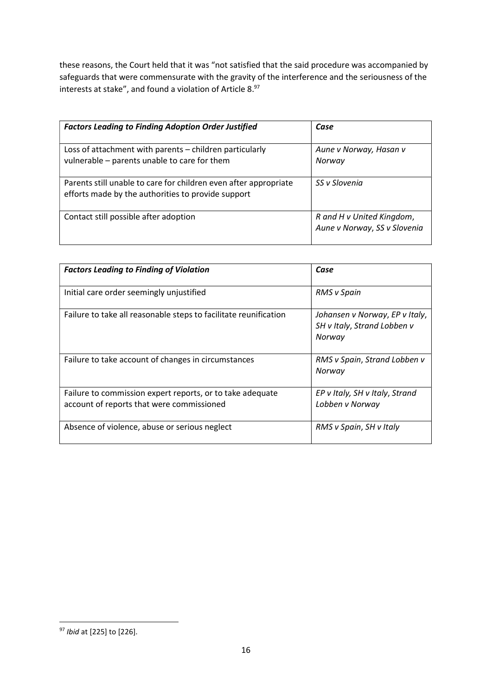these reasons, the Court held that it was "not satisfied that the said procedure was accompanied by safeguards that were commensurate with the gravity of the interference and the seriousness of the interests at stake", and found a violation of Article 8.<sup>97</sup>

| <b>Factors Leading to Finding Adoption Order Justified</b>                                                             | Case                                                      |
|------------------------------------------------------------------------------------------------------------------------|-----------------------------------------------------------|
| Loss of attachment with parents - children particularly<br>vulnerable - parents unable to care for them                | Aune v Norway, Hasan v<br>Norway                          |
| Parents still unable to care for children even after appropriate<br>efforts made by the authorities to provide support | SS v Slovenia                                             |
| Contact still possible after adoption                                                                                  | R and H v United Kingdom,<br>Aune v Norway, SS v Slovenia |

| <b>Factors Leading to Finding of Violation</b>                                                         | Case                                                                    |
|--------------------------------------------------------------------------------------------------------|-------------------------------------------------------------------------|
| Initial care order seemingly unjustified                                                               | <b>RMS</b> v Spain                                                      |
| Failure to take all reasonable steps to facilitate reunification                                       | Johansen v Norway, EP v Italy,<br>SH v Italy, Strand Lobben v<br>Norway |
| Failure to take account of changes in circumstances                                                    | RMS v Spain, Strand Lobben v<br>Norway                                  |
| Failure to commission expert reports, or to take adequate<br>account of reports that were commissioned | EP v Italy, SH v Italy, Strand<br>Lobben v Norway                       |
| Absence of violence, abuse or serious neglect                                                          | RMS v Spain, SH v Italy                                                 |

<sup>&</sup>lt;sup>97</sup> Ibid at [225] to [226].